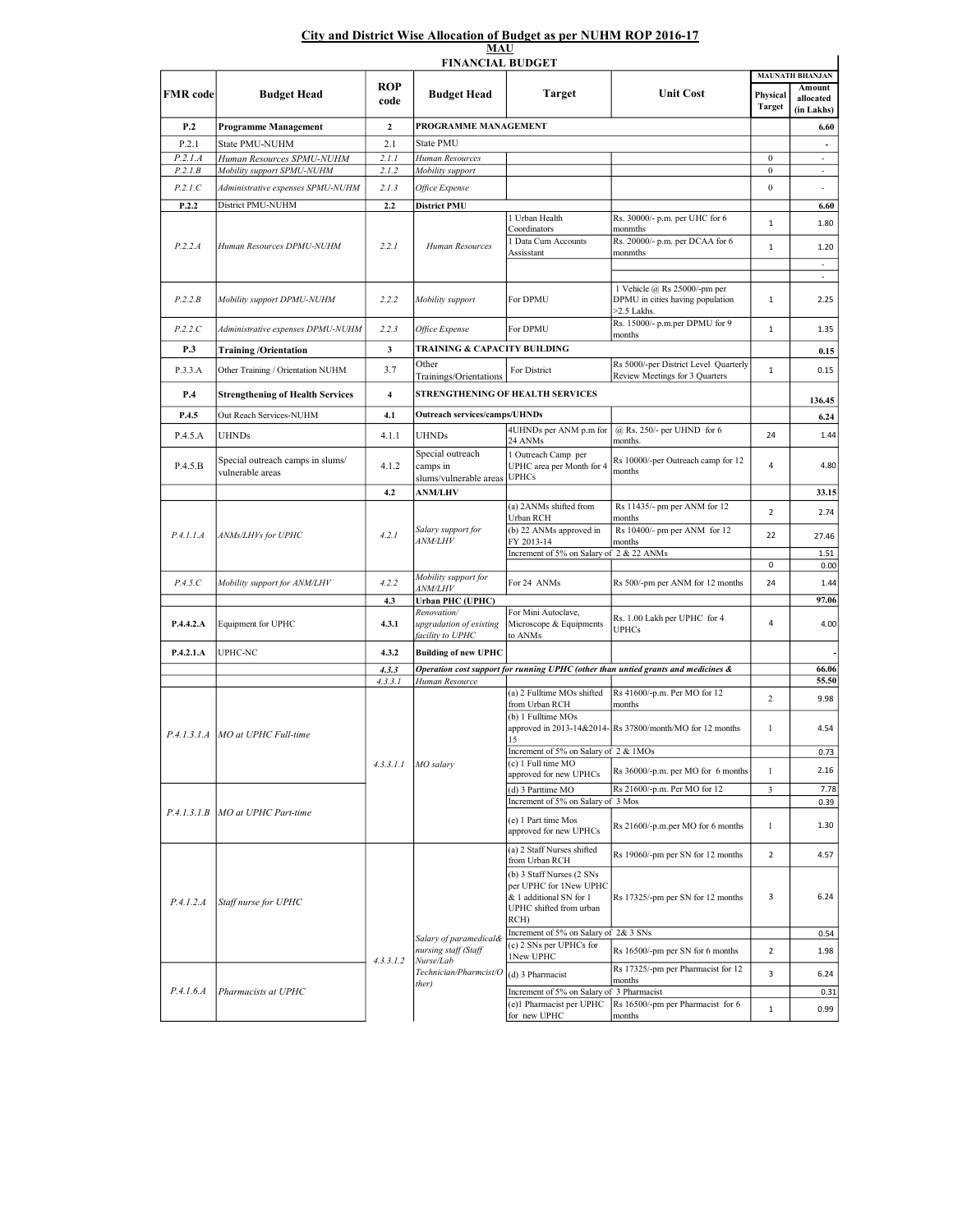## City and District Wise Allocation of Budget as per NUHM ROP 2016-17 MAU

| <b>FINANCIAL BUDGET</b> |                                                      |                         |                                                        |                                                                                                                   |                                                                                 |                    |                                               |  |  |  |  |  |
|-------------------------|------------------------------------------------------|-------------------------|--------------------------------------------------------|-------------------------------------------------------------------------------------------------------------------|---------------------------------------------------------------------------------|--------------------|-----------------------------------------------|--|--|--|--|--|
| <b>FMR</b> code         | <b>Budget Head</b>                                   | <b>ROP</b><br>code      | <b>Budget Head</b>                                     | <b>Target</b>                                                                                                     | <b>Unit Cost</b>                                                                | Physical<br>Target | <b>MAUNATH BHANJAN</b><br>Amount<br>allocated |  |  |  |  |  |
| P.2                     |                                                      | $\mathbf{2}$            | PROGRAMME MANAGEMENT                                   |                                                                                                                   |                                                                                 |                    | (in Lakhs)                                    |  |  |  |  |  |
| P.2.1                   | Programme Management<br>State PMU-NUHM               | 2.1                     | State PMU                                              |                                                                                                                   |                                                                                 |                    | 6.60<br>$\blacksquare$                        |  |  |  |  |  |
| P.2.1.A                 | Human Resources SPMU-NUHM                            | 2.1.1                   | Human Resources                                        |                                                                                                                   |                                                                                 | $\boldsymbol{0}$   | $\overline{\phantom{a}}$                      |  |  |  |  |  |
| P.2.I.B                 | Mobility support SPMU-NUHM                           | 2.1.2                   | Mobility support                                       |                                                                                                                   |                                                                                 | $\boldsymbol{0}$   | $\overline{\phantom{a}}$                      |  |  |  |  |  |
| P.2.1.C                 | Administrative expenses SPMU-NUHM                    | 2.1.3                   | Office Expense                                         |                                                                                                                   |                                                                                 | $\boldsymbol{0}$   | $\overline{\phantom{a}}$                      |  |  |  |  |  |
| P.2.2                   | District PMU-NUHM                                    | 2.2                     | <b>District PMU</b>                                    |                                                                                                                   |                                                                                 |                    | 6.60                                          |  |  |  |  |  |
| P.2.2.A                 | Human Resources DPMU-NUHM                            | 2.2.1                   | Human Resources                                        | 1 Urban Health<br>Coordinators<br>1 Data Cum Accounts                                                             | Rs. 30000/- p.m. per UHC for 6<br>monmths<br>Rs. 20000/- p.m. per DCAA for 6    | $\mathbf 1$        | 1.80                                          |  |  |  |  |  |
|                         |                                                      |                         |                                                        | Assisstant                                                                                                        | monmths                                                                         | $\mathbf{1}$       | 1.20<br>$\overline{\phantom{a}}$              |  |  |  |  |  |
|                         |                                                      |                         |                                                        |                                                                                                                   |                                                                                 |                    | ä,                                            |  |  |  |  |  |
| P.2.2.B                 | Mobility support DPMU-NUHM                           | 2.2.2                   | Mobility support                                       | For DPMU                                                                                                          | 1 Vehicle @ Rs 25000/-pm per<br>DPMU in cities having population<br>>2.5 Lakhs. | 1                  | 2.25                                          |  |  |  |  |  |
| P.2.2.C                 | Administrative expenses DPMU-NUHM                    | 2.2.3                   | Office Expense                                         | For DPMU                                                                                                          | Rs. 15000/- p.m.per DPMU for 9<br>months                                        | $1\,$              | 1.35                                          |  |  |  |  |  |
| P.3                     | <b>Training/Orientation</b>                          | 3                       | TRAINING & CAPACITY BUILDING                           |                                                                                                                   |                                                                                 |                    | 0.15                                          |  |  |  |  |  |
| P.3.3.A                 | Other Training / Orientation NUHM                    | 3.7                     | Other<br>Trainings/Orientations                        | For District                                                                                                      | Rs 5000/-per District Level Quarterly<br>Review Meetings for 3 Quarters         | $\mathbf 1$        | 0.15                                          |  |  |  |  |  |
| P.4                     | <b>Strengthening of Health Services</b>              | $\overline{\mathbf{4}}$ |                                                        | STRENGTHENING OF HEALTH SERVICES                                                                                  |                                                                                 |                    | 136.45                                        |  |  |  |  |  |
| P.4.5                   | Out Reach Services-NUHM                              | 4.1                     | <b>Outreach services/camps/UHNDs</b>                   |                                                                                                                   |                                                                                 |                    | 6.24                                          |  |  |  |  |  |
| P.4.5.A                 | <b>UHNDs</b>                                         | 4.1.1                   | UHNDs                                                  | 4UHNDs per ANM p.m for<br>24 ANMs                                                                                 | @ Rs. 250/- per UHND for 6<br>months.                                           | 24                 | 1.44                                          |  |  |  |  |  |
| P.4.5.B                 | Special outreach camps in slums/<br>vulnerable areas | 4.1.2                   | Special outreach<br>camps in<br>slums/vulnerable areas | 1 Outreach Camp per<br>UPHC area per Month for 4<br><b>UPHCs</b>                                                  | Rs 10000/-per Outreach camp for 12<br>months                                    | 4                  | 4.80                                          |  |  |  |  |  |
|                         |                                                      | 4.2                     | <b>ANM/LHV</b>                                         |                                                                                                                   |                                                                                 |                    | 33.15                                         |  |  |  |  |  |
| P.4.1.1.A               | ANMs/LHVs for UPHC                                   | 4.2.1                   | Salary support for<br><i>ANM/LHV</i>                   | (a) 2ANMs shifted from<br>Urban RCH                                                                               | Rs 11435/- pm per ANM for 12<br>months                                          | $\overline{2}$     | 2.74                                          |  |  |  |  |  |
|                         |                                                      |                         |                                                        | (b) 22 ANMs approved in<br>FY 2013-14                                                                             | Rs 10400/- pm per ANM for 12<br>months                                          | 22                 | 27.46                                         |  |  |  |  |  |
|                         |                                                      |                         |                                                        | Increment of 5% on Salary of 2 & 22 ANMs                                                                          |                                                                                 |                    | 1.51                                          |  |  |  |  |  |
|                         |                                                      |                         | Mobility support for                                   |                                                                                                                   |                                                                                 | 0<br>24            | 0.00                                          |  |  |  |  |  |
| P.4.5.C                 | Mobility support for ANM/LHV                         | 4.2.2                   | <i>ANM/LHV</i>                                         | For 24 ANMs                                                                                                       | Rs 500/-pm per ANM for 12 months                                                |                    | 1.44                                          |  |  |  |  |  |
|                         |                                                      | 4.3                     | <b>Urban PHC (UPHC)</b><br>Renovation/                 | For Mini Autoclave,                                                                                               |                                                                                 |                    | 97.06                                         |  |  |  |  |  |
| P.4.4.2.A               | Equipment for UPHC                                   | 4.3.1                   | upgradation of existing<br>facility to UPHC            | Microscope & Equipments<br>to ANMs                                                                                | Rs. 1.00 Lakh per UPHC for 4<br><b>UPHCs</b>                                    | $\sqrt{4}$         | 4.00                                          |  |  |  |  |  |
| P.4.2.1.A               | UPHC-NC                                              | 4.3.2                   | <b>Building of new UPHC</b>                            |                                                                                                                   |                                                                                 |                    |                                               |  |  |  |  |  |
|                         |                                                      | 4.3.3                   |                                                        | Operation cost support for running UPHC (other than untied grants and medicines &                                 |                                                                                 |                    | 66.06                                         |  |  |  |  |  |
|                         | P.4.1.3.1.A MO at UPHC Full-time                     | 4.3.3.1                 | Human Resource                                         | (a) 2 Fulltime MOs shifted<br>from Urban RCH                                                                      | Rs 41600/-p.m. Per MO for 12<br>months                                          | $\mathfrak{2}$     | 55.50<br>9.98                                 |  |  |  |  |  |
|                         |                                                      |                         |                                                        | (b) 1 Fulltime MOs                                                                                                | approved in 2013-14&2014-Rs 37800/month/MO for 12 months                        | 1                  | 4.54                                          |  |  |  |  |  |
|                         |                                                      |                         |                                                        | 15<br>Increment of 5% on Salary of 2 & 1MOs                                                                       |                                                                                 |                    | 0.73                                          |  |  |  |  |  |
|                         |                                                      | 4.3.3.1.1               | $MO$ salary                                            | (c) 1 Full time MO<br>approved for new UPHCs                                                                      | Rs 36000/-p.m. per MO for 6 months                                              | $\mathbf{1}$       | 2.16                                          |  |  |  |  |  |
|                         |                                                      |                         |                                                        | (d) 3 Parttime MO<br>Increment of 5% on Salary of 3 Mos                                                           | Rs 21600/-p.m. Per MO for 12                                                    | 3                  | 7.78<br>0.39                                  |  |  |  |  |  |
| P.4.1.3.1.B             | MO at UPHC Part-time                                 |                         |                                                        | (e) 1 Part time Mos<br>approved for new UPHCs                                                                     | Rs 21600/-p.m.per MO for 6 months                                               | $\mathbf{1}$       | 1.30                                          |  |  |  |  |  |
|                         |                                                      |                         |                                                        | (a) 2 Staff Nurses shifted<br>from Urban RCH                                                                      | Rs 19060/-pm per SN for 12 months                                               | 2                  | 4.57                                          |  |  |  |  |  |
| P.4.1.2.A               | Staff nurse for UPHC                                 |                         |                                                        | (b) 3 Staff Nurses (2 SNs<br>per UPHC for 1New UPHC<br>& 1 additional SN for 1<br>UPHC shifted from urban<br>RCH) | Rs 17325/-pm per SN for 12 months                                               | 3                  | 6.24                                          |  |  |  |  |  |
|                         |                                                      |                         | Salary of paramedical&                                 | Increment of 5% on Salary of 2& 3 SNs                                                                             |                                                                                 |                    | 0.54                                          |  |  |  |  |  |
|                         |                                                      | 4.3.3.1.2               | nursing staff (Staff<br>Nurse/Lab                      | (c) 2 SNs per UPHCs for<br>1New UPHC                                                                              | Rs 16500/-pm per SN for 6 months                                                | 2                  | 1.98                                          |  |  |  |  |  |
|                         |                                                      |                         | Technician/Pharmcist/O<br>ther)                        | (d) 3 Pharmacist                                                                                                  | Rs 17325/-pm per Pharmacist for 12<br>months                                    | 3                  | 6.24                                          |  |  |  |  |  |
| P.4.1.6.4               | Pharmacists at UPHC                                  |                         |                                                        | Increment of 5% on Salary of 3 Pharmacist<br>(e)1 Pharmacist per UPHC<br>for new UPHC                             | Rs 16500/-pm per Pharmacist for 6<br>months                                     | $\mathbf 1$        | 0.31<br>0.99                                  |  |  |  |  |  |